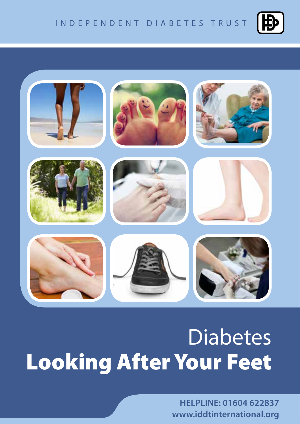



# **United States Looking After Your Feet**

**HELPLINE: 01604 622837 www.iddtinternational.org**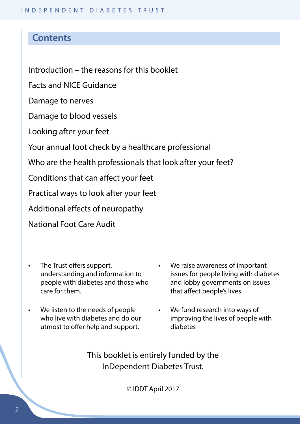# **Contents**

Introduction – the reasons for this booklet

Facts and NICE Guidance

Damage to nerves

Damage to blood vessels

Looking after your feet

Your annual foot check by a healthcare professional

Who are the health professionals that look after your feet?

Conditions that can affect your feet

Practical ways to look after your feet

Additional effects of neuropathy

National Foot Care Audit

- The Trust offers support, understanding and information to people with diabetes and those who care for them.
- We listen to the needs of people who live with diabetes and do our utmost to offer help and support.
- We raise awareness of important issues for people living with diabetes and lobby governments on issues that affect people's lives.
- We fund research into ways of improving the lives of people with diabetes

This booklet is entirely funded by the InDependent Diabetes Trust.

© IDDT April 2017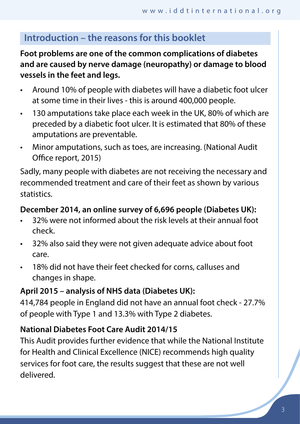# **Introduction – the reasons for this booklet**

# **Foot problems are one of the common complications of diabetes and are caused by nerve damage (neuropathy) or damage to blood vessels in the feet and legs.**

- Around 10% of people with diabetes will have a diabetic foot ulcer at some time in their lives - this is around 400,000 people.
- 130 amputations take place each week in the UK, 80% of which are preceded by a diabetic foot ulcer. It is estimated that 80% of these amputations are preventable.
- Minor amputations, such as toes, are increasing. (National Audit Office report, 2015)

Sadly, many people with diabetes are not receiving the necessary and recommended treatment and care of their feet as shown by various statistics.

## **December 2014, an online survey of 6,696 people (Diabetes UK):**

- 32% were not informed about the risk levels at their annual foot check.
- 32% also said they were not given adequate advice about foot care.
- 18% did not have their feet checked for corns, calluses and changes in shape.

# **April 2015 – analysis of NHS data (Diabetes UK):**

414,784 people in England did not have an annual foot check - 27.7% of people with Type 1 and 13.3% with Type 2 diabetes.

# **National Diabetes Foot Care Audit 2014/15**

This Audit provides further evidence that while the National Institute for Health and Clinical Excellence (NICE) recommends high quality services for foot care, the results suggest that these are not well delivered.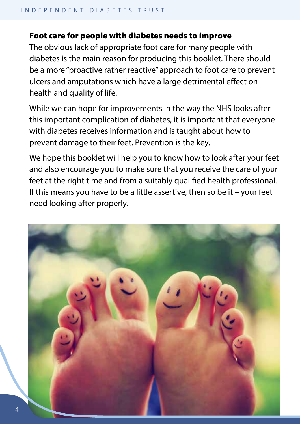#### Foot care for people with diabetes needs to improve

The obvious lack of appropriate foot care for many people with diabetes is the main reason for producing this booklet. There should be a more "proactive rather reactive" approach to foot care to prevent ulcers and amputations which have a large detrimental effect on health and quality of life.

While we can hope for improvements in the way the NHS looks after this important complication of diabetes, it is important that everyone with diabetes receives information and is taught about how to prevent damage to their feet. Prevention is the key.

We hope this booklet will help you to know how to look after your feet and also encourage you to make sure that you receive the care of your feet at the right time and from a suitably qualified health professional. If this means you have to be a little assertive, then so be it – your feet need looking after properly.

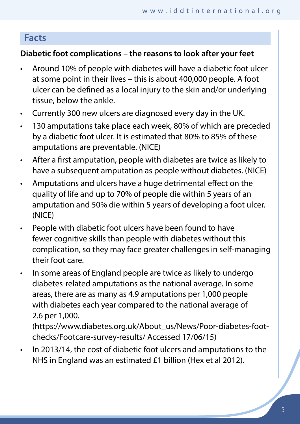# **Facts**

## **Diabetic foot complications – the reasons to look after your feet**

- Around 10% of people with diabetes will have a diabetic foot ulcer at some point in their lives – this is about 400,000 people. A foot ulcer can be defined as a local injury to the skin and/or underlying tissue, below the ankle.
- Currently 300 new ulcers are diagnosed every day in the UK.
- 130 amputations take place each week, 80% of which are preceded by a diabetic foot ulcer. It is estimated that 80% to 85% of these amputations are preventable. (NICE)
- After a first amputation, people with diabetes are twice as likely to have a subsequent amputation as people without diabetes. (NICE)
- Amputations and ulcers have a huge detrimental effect on the quality of life and up to 70% of people die within 5 years of an amputation and 50% die within 5 years of developing a foot ulcer. (NICE)
- People with diabetic foot ulcers have been found to have fewer cognitive skills than people with diabetes without this complication, so they may face greater challenges in self-managing their foot care.
- In some areas of England people are twice as likely to undergo diabetes-related amputations as the national average. In some areas, there are as many as 4.9 amputations per 1,000 people with diabetes each year compared to the national average of 2.6 per 1,000.

(https://www.diabetes.org.uk/About\_us/News/Poor-diabetes-footchecks/Footcare-survey-results/ Accessed 17/06/15)

• In 2013/14, the cost of diabetic foot ulcers and amputations to the NHS in England was an estimated £1 billion (Hex et al 2012).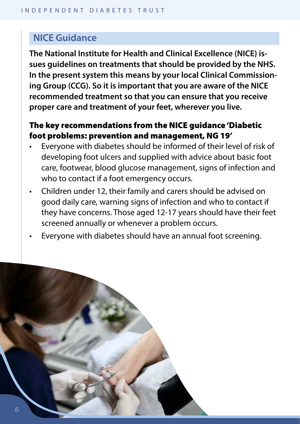# **NICE Guidance**

**The National Institute for Health and Clinical Excellence (NICE) issues guidelines on treatments that should be provided by the NHS. In the present system this means by your local Clinical Commissioning Group (CCG). So it is important that you are aware of the NICE recommended treatment so that you can ensure that you receive proper care and treatment of your feet, wherever you live.** 

## The key recommendations from the NICE guidance 'Diabetic foot problems: prevention and management, NG 19'

- Everyone with diabetes should be informed of their level of risk of developing foot ulcers and supplied with advice about basic foot care, footwear, blood glucose management, signs of infection and who to contact if a foot emergency occurs.
- Children under 12, their family and carers should be advised on good daily care, warning signs of infection and who to contact if they have concerns. Those aged 12-17 years should have their feet screened annually or whenever a problem occurs.
- Everyone with diabetes should have an annual foot screening.

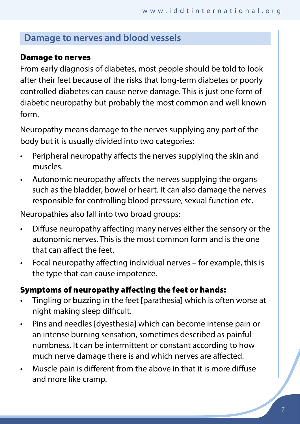# **Damage to nerves and blood vessels**

#### Damage to nerves

From early diagnosis of diabetes, most people should be told to look after their feet because of the risks that long-term diabetes or poorly controlled diabetes can cause nerve damage. This is just one form of diabetic neuropathy but probably the most common and well known form.

Neuropathy means damage to the nerves supplying any part of the body but it is usually divided into two categories:

- Peripheral neuropathy affects the nerves supplying the skin and muscles.
- Autonomic neuropathy affects the nerves supplying the organs such as the bladder, bowel or heart. It can also damage the nerves responsible for controlling blood pressure, sexual function etc.

Neuropathies also fall into two broad groups:

- Diffuse neuropathy affecting many nerves either the sensory or the autonomic nerves. This is the most common form and is the one that can affect the feet.
- Focal neuropathy affecting individual nerves for example, this is the type that can cause impotence.

## Symptoms of neuropathy affecting the feet or hands:

- Tingling or buzzing in the feet [parathesia] which is often worse at night making sleep difficult.
- Pins and needles [dyesthesia] which can become intense pain or an intense burning sensation, sometimes described as painful numbness. It can be intermittent or constant according to how much nerve damage there is and which nerves are affected.
- Muscle pain is different from the above in that it is more diffuse and more like cramp.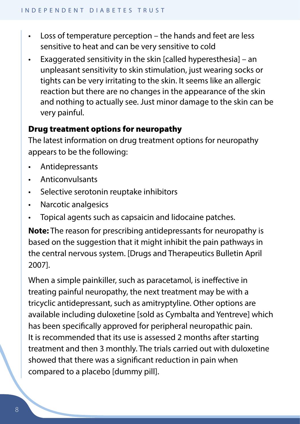- Loss of temperature perception the hands and feet are less sensitive to heat and can be very sensitive to cold
- Exaggerated sensitivity in the skin [called hyperesthesia] an unpleasant sensitivity to skin stimulation, just wearing socks or tights can be very irritating to the skin. It seems like an allergic reaction but there are no changes in the appearance of the skin and nothing to actually see. Just minor damage to the skin can be very painful.

# Drug treatment options for neuropathy

The latest information on drug treatment options for neuropathy appears to be the following:

- Antidepressants
- Anticonvulsants
- Selective serotonin reuptake inhibitors
- Narcotic analgesics
- Topical agents such as capsaicin and lidocaine patches.

**Note:** The reason for prescribing antidepressants for neuropathy is based on the suggestion that it might inhibit the pain pathways in the central nervous system. [Drugs and Therapeutics Bulletin April 2007].

When a simple painkiller, such as paracetamol, is ineffective in treating painful neuropathy, the next treatment may be with a tricyclic antidepressant, such as amitryptyline. Other options are available including duloxetine [sold as Cymbalta and Yentreve] which has been specifically approved for peripheral neuropathic pain. It is recommended that its use is assessed 2 months after starting treatment and then 3 monthly. The trials carried out with duloxetine showed that there was a significant reduction in pain when compared to a placebo [dummy pill].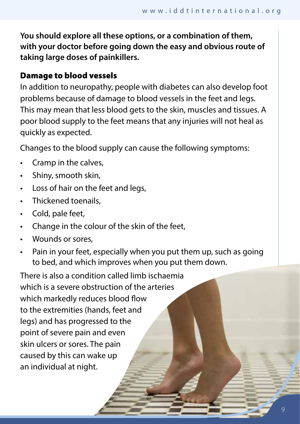**You should explore all these options, or a combination of them, with your doctor before going down the easy and obvious route of taking large doses of painkillers.** 

## Damage to blood vessels

In addition to neuropathy, people with diabetes can also develop foot problems because of damage to blood vessels in the feet and legs. This may mean that less blood gets to the skin, muscles and tissues. A poor blood supply to the feet means that any injuries will not heal as quickly as expected.

Changes to the blood supply can cause the following symptoms:

- Cramp in the calves,
- Shiny, smooth skin,
- Loss of hair on the feet and legs,
- Thickened toenails,
- Cold, pale feet,
- Change in the colour of the skin of the feet,
- Wounds or sores,
- Pain in your feet, especially when you put them up, such as going to bed, and which improves when you put them down.

There is also a condition called limb ischaemia which is a severe obstruction of the arteries which markedly reduces blood flow to the extremities (hands, feet and legs) and has progressed to the point of severe pain and even skin ulcers or sores. The pain caused by this can wake up an individual at night.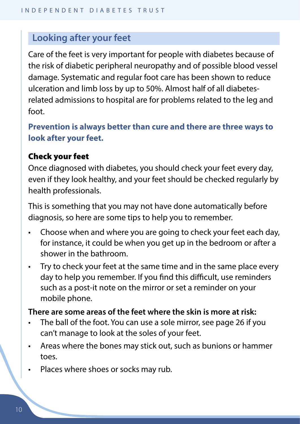# **Looking after your feet**

Care of the feet is very important for people with diabetes because of the risk of diabetic peripheral neuropathy and of possible blood vessel damage. Systematic and regular foot care has been shown to reduce ulceration and limb loss by up to 50%. Almost half of all diabetesrelated admissions to hospital are for problems related to the leg and foot.

**Prevention is always better than cure and there are three ways to look after your feet.**

#### Check your feet

Once diagnosed with diabetes, you should check your feet every day, even if they look healthy, and your feet should be checked regularly by health professionals.

This is something that you may not have done automatically before diagnosis, so here are some tips to help you to remember.

- Choose when and where you are going to check your feet each day, for instance, it could be when you get up in the bedroom or after a shower in the bathroom.
- Try to check your feet at the same time and in the same place every day to help you remember. If you find this difficult, use reminders such as a post-it note on the mirror or set a reminder on your mobile phone.

## **There are some areas of the feet where the skin is more at risk:**

- The ball of the foot. You can use a sole mirror, see page 26 if you can't manage to look at the soles of your feet.
- Areas where the bones may stick out, such as bunions or hammer toes.
- Places where shoes or socks may rub.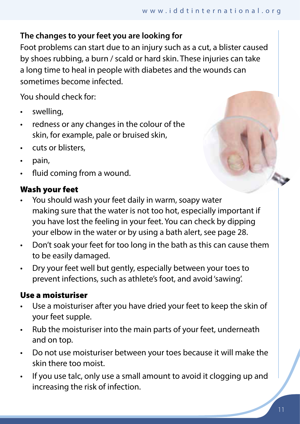## **The changes to your feet you are looking for**

Foot problems can start due to an injury such as a cut, a blister caused by shoes rubbing, a burn / scald or hard skin. These injuries can take a long time to heal in people with diabetes and the wounds can sometimes become infected.

You should check for:

- swellina.
- redness or any changes in the colour of the skin, for example, pale or bruised skin,
- cuts or blisters.
- pain,
- fluid coming from a wound.

#### Wash your feet

- You should wash your feet daily in warm, soapy water making sure that the water is not too hot, especially important if you have lost the feeling in your feet. You can check by dipping your elbow in the water or by using a bath alert, see page 28.
- Don't soak your feet for too long in the bath as this can cause them to be easily damaged.
- Dry your feet well but gently, especially between your toes to prevent infections, such as athlete's foot, and avoid 'sawing'.

#### Use a moisturiser

- Use a moisturiser after you have dried your feet to keep the skin of your feet supple.
- Rub the moisturiser into the main parts of your feet, underneath and on top.
- Do not use moisturiser between your toes because it will make the skin there too moist.
- If you use talc, only use a small amount to avoid it clogging up and increasing the risk of infection.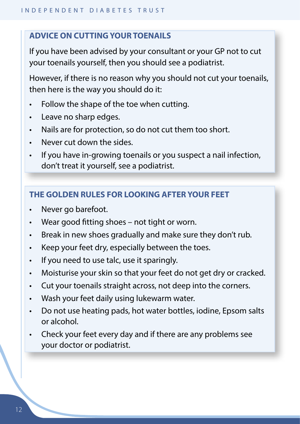#### **ADVICE ON CUTTING YOUR TOENAILS**

If you have been advised by your consultant or your GP not to cut your toenails yourself, then you should see a podiatrist.

However, if there is no reason why you should not cut your toenails, then here is the way you should do it:

- Follow the shape of the toe when cutting.
- Leave no sharp edges.
- Nails are for protection, so do not cut them too short.
- Never cut down the sides.
- If you have in-growing toenails or you suspect a nail infection, don't treat it yourself, see a podiatrist.

# **THE GOLDEN RULES FOR LOOKING AFTER YOUR FEET**

- Never go barefoot.
- Wear good fitting shoes not tight or worn.
- Break in new shoes gradually and make sure they don't rub.
- Keep your feet dry, especially between the toes.
- If you need to use talc, use it sparingly.
- Moisturise your skin so that your feet do not get dry or cracked.
- Cut your toenails straight across, not deep into the corners.
- Wash your feet daily using lukewarm water.
- Do not use heating pads, hot water bottles, iodine, Epsom salts or alcohol.
- Check your feet every day and if there are any problems see your doctor or podiatrist.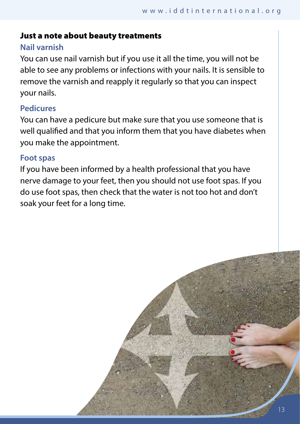#### Just a note about beauty treatments

#### **Nail varnish**

You can use nail varnish but if you use it all the time, you will not be able to see any problems or infections with your nails. It is sensible to remove the varnish and reapply it regularly so that you can inspect your nails.

#### **Pedicures**

You can have a pedicure but make sure that you use someone that is well qualified and that you inform them that you have diabetes when you make the appointment.

#### **Foot spas**

If you have been informed by a health professional that you have nerve damage to your feet, then you should not use foot spas. If you do use foot spas, then check that the water is not too hot and don't soak your feet for a long time.

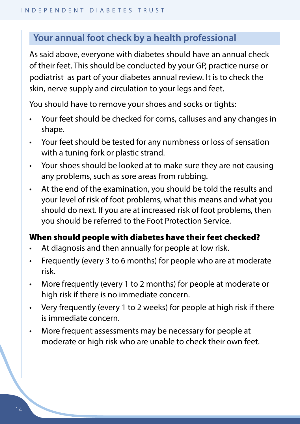# **Your annual foot check by a health professional**

As said above, everyone with diabetes should have an annual check of their feet. This should be conducted by your GP, practice nurse or podiatrist as part of your diabetes annual review. It is to check the skin, nerve supply and circulation to your legs and feet.

You should have to remove your shoes and socks or tights:

- Your feet should be checked for corns, calluses and any changes in shape.
- Your feet should be tested for any numbness or loss of sensation with a tuning fork or plastic strand.
- Your shoes should be looked at to make sure they are not causing any problems, such as sore areas from rubbing.
- At the end of the examination, you should be told the results and your level of risk of foot problems, what this means and what you should do next. If you are at increased risk of foot problems, then you should be referred to the Foot Protection Service.

#### When should people with diabetes have their feet checked?

- At diagnosis and then annually for people at low risk.
- Frequently (every 3 to 6 months) for people who are at moderate risk.
- More frequently (every 1 to 2 months) for people at moderate or high risk if there is no immediate concern.
- Very frequently (every 1 to 2 weeks) for people at high risk if there is immediate concern.
- More frequent assessments may be necessary for people at moderate or high risk who are unable to check their own feet.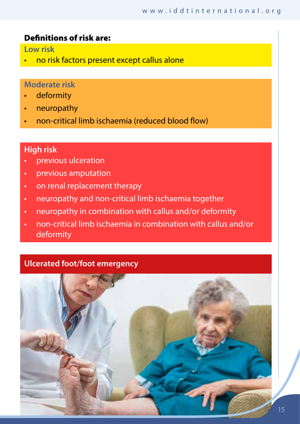#### Definitions of risk are:

**Low risk**

• no risk factors present except callus alone

#### **Moderate risk**

- deformity
- neuropathy
- non-critical limb ischaemia (reduced blood flow)

#### **High risk**

- previous ulceration
- previous amputation
- on renal replacement therapy
- neuropathy and non-critical limb ischaemia together
- neuropathy in combination with callus and/or deformity
- non-critical limb ischaemia in combination with callus and/or deformity

#### **Ulcerated foot/foot emergency**

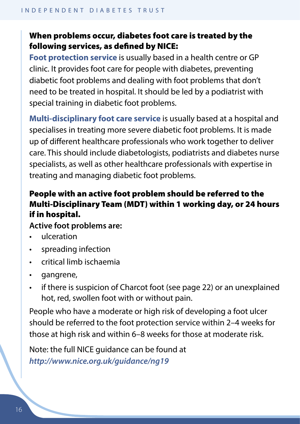## When problems occur, diabetes foot care is treated by the following services, as defined by NICE:

**Foot protection service** is usually based in a health centre or GP clinic. It provides foot care for people with diabetes, preventing diabetic foot problems and dealing with foot problems that don't need to be treated in hospital. It should be led by a podiatrist with special training in diabetic foot problems.

**Multi-disciplinary foot care service** is usually based at a hospital and specialises in treating more severe diabetic foot problems. It is made up of different healthcare professionals who work together to deliver care. This should include diabetologists, podiatrists and diabetes nurse specialists, as well as other healthcare professionals with expertise in treating and managing diabetic foot problems.

# People with an active foot problem should be referred to the Multi-Disciplinary Team (MDT) within 1 working day, or 24 hours if in hospital.

#### **Active foot problems are:**

- ulceration
- spreading infection
- critical limb ischaemia
- gangrene,
- if there is suspicion of Charcot foot (see page 22) or an unexplained hot, red, swollen foot with or without pain.

People who have a moderate or high risk of developing a foot ulcer should be referred to the foot protection service within 2–4 weeks for those at high risk and within 6–8 weeks for those at moderate risk.

Note: the full NICE guidance can be found at *http://www.nice.org.uk/guidance/ng19*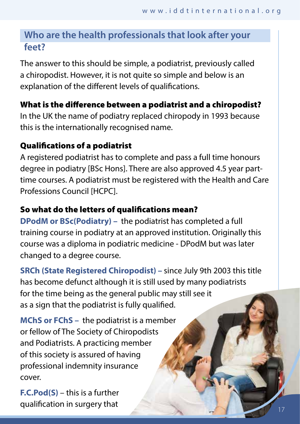# **Who are the health professionals that look after your feet?**

The answer to this should be simple, a podiatrist, previously called a chiropodist. However, it is not quite so simple and below is an explanation of the different levels of qualifications.

# What is the difference between a podiatrist and a chiropodist?

In the UK the name of podiatry replaced chiropody in 1993 because this is the internationally recognised name.

# Qualifications of a podiatrist

A registered podiatrist has to complete and pass a full time honours degree in podiatry [BSc Hons]. There are also approved 4.5 year parttime courses. A podiatrist must be registered with the Health and Care Professions Council [HCPC].

# So what do the letters of qualifications mean?

**DPodM or BSc(Podiatry) –** the podiatrist has completed a full training course in podiatry at an approved institution. Originally this course was a diploma in podiatric medicine - DPodM but was later changed to a degree course.

**SRCh (State Registered Chiropodist) –** since July 9th 2003 this title has become defunct although it is still used by many podiatrists for the time being as the general public may still see it as a sign that the podiatrist is fully qualified.

**MChS or FChS –** the podiatrist is a member or fellow of The Society of Chiropodists and Podiatrists. A practicing member of this society is assured of having professional indemnity insurance cover.

**F.C.Pod(S)** – this is a further qualification in surgery that 17 and 17 and 17 and 17 and 17 and 17 and 17 and 17 and 17 and 17 and 17 and 17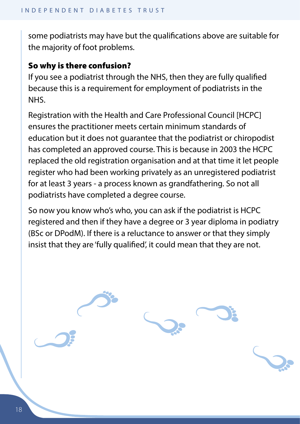some podiatrists may have but the qualifications above are suitable for the majority of foot problems.

## So why is there confusion?

If you see a podiatrist through the NHS, then they are fully qualified because this is a requirement for employment of podiatrists in the NHS.

Registration with the Health and Care Professional Council [HCPC] ensures the practitioner meets certain minimum standards of education but it does not guarantee that the podiatrist or chiropodist has completed an approved course. This is because in 2003 the HCPC replaced the old registration organisation and at that time it let people register who had been working privately as an unregistered podiatrist for at least 3 years - a process known as grandfathering. So not all podiatrists have completed a degree course.

So now you know who's who, you can ask if the podiatrist is HCPC registered and then if they have a degree or 3 year diploma in podiatry (BSc or DPodM). If there is a reluctance to answer or that they simply insist that they are 'fully qualified', it could mean that they are not.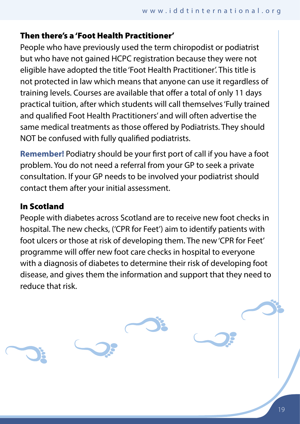## Then there's a 'Foot Health Practitioner'

People who have previously used the term chiropodist or podiatrist but who have not gained HCPC registration because they were not eligible have adopted the title 'Foot Health Practitioner'. This title is not protected in law which means that anyone can use it regardless of training levels. Courses are available that offer a total of only 11 days practical tuition, after which students will call themselves 'Fully trained and qualified Foot Health Practitioners' and will often advertise the same medical treatments as those offered by Podiatrists. They should NOT be confused with fully qualified podiatrists.

**Remember!** Podiatry should be your first port of call if you have a foot problem. You do not need a referral from your GP to seek a private consultation. If your GP needs to be involved your podiatrist should contact them after your initial assessment.

# In Scotland

People with diabetes across Scotland are to receive new foot checks in hospital. The new checks, ('CPR for Feet') aim to identify patients with foot ulcers or those at risk of developing them. The new 'CPR for Feet' programme will offer new foot care checks in hospital to everyone with a diagnosis of diabetes to determine their risk of developing foot disease, and gives them the information and support that they need to reduce that risk.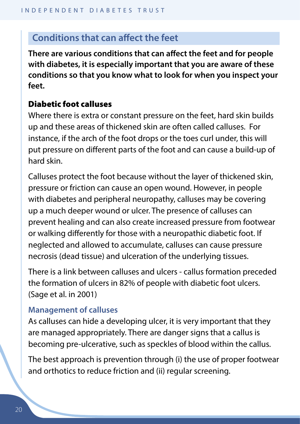# **Conditions that can affect the feet**

**There are various conditions that can affect the feet and for people with diabetes, it is especially important that you are aware of these conditions so that you know what to look for when you inspect your feet.**

#### Diabetic foot calluses

Where there is extra or constant pressure on the feet, hard skin builds up and these areas of thickened skin are often called calluses. For instance, if the arch of the foot drops or the toes curl under, this will put pressure on different parts of the foot and can cause a build-up of hard skin.

Calluses protect the foot because without the layer of thickened skin, pressure or friction can cause an open wound. However, in people with diabetes and peripheral neuropathy, calluses may be covering up a much deeper wound or ulcer. The presence of calluses can prevent healing and can also create increased pressure from footwear or walking differently for those with a neuropathic diabetic foot. If neglected and allowed to accumulate, calluses can cause pressure necrosis (dead tissue) and ulceration of the underlying tissues.

There is a link between calluses and ulcers - callus formation preceded the formation of ulcers in 82% of people with diabetic foot ulcers. (Sage et al. in 2001)

#### **Management of calluses**

As calluses can hide a developing ulcer, it is very important that they are managed appropriately. There are danger signs that a callus is becoming pre-ulcerative, such as speckles of blood within the callus.

The best approach is prevention through (i) the use of proper footwear and orthotics to reduce friction and (ii) regular screening.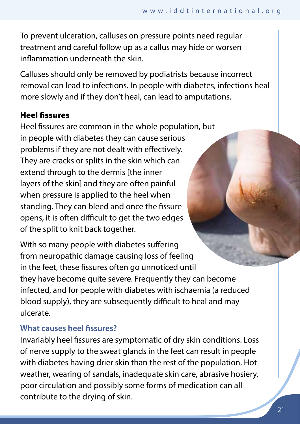To prevent ulceration, calluses on pressure points need regular treatment and careful follow up as a callus may hide or worsen inflammation underneath the skin.

Calluses should only be removed by podiatrists because incorrect removal can lead to infections. In people with diabetes, infections heal more slowly and if they don't heal, can lead to amputations.

# Heel fissures

Heel fissures are common in the whole population, but in people with diabetes they can cause serious problems if they are not dealt with effectively. They are cracks or splits in the skin which can extend through to the dermis [the inner layers of the skin] and they are often painful when pressure is applied to the heel when standing. They can bleed and once the fissure opens, it is often difficult to get the two edges of the split to knit back together.

With so many people with diabetes suffering from neuropathic damage causing loss of feeling in the feet, these fissures often go unnoticed until they have become quite severe. Frequently they can become infected, and for people with diabetes with ischaemia (a reduced blood supply), they are subsequently difficult to heal and may ulcerate.

## **What causes heel fissures?**

Invariably heel fissures are symptomatic of dry skin conditions. Loss of nerve supply to the sweat glands in the feet can result in people with diabetes having drier skin than the rest of the population. Hot weather, wearing of sandals, inadequate skin care, abrasive hosiery, poor circulation and possibly some forms of medication can all contribute to the drying of skin.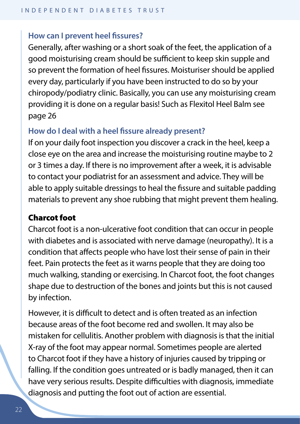#### **How can I prevent heel fissures?**

Generally, after washing or a short soak of the feet, the application of a good moisturising cream should be sufficient to keep skin supple and so prevent the formation of heel fissures. Moisturiser should be applied every day, particularly if you have been instructed to do so by your chiropody/podiatry clinic. Basically, you can use any moisturising cream providing it is done on a regular basis! Such as Flexitol Heel Balm see page 26

#### **How do I deal with a heel fissure already present?**

If on your daily foot inspection you discover a crack in the heel, keep a close eye on the area and increase the moisturising routine maybe to 2 or 3 times a day. If there is no improvement after a week, it is advisable to contact your podiatrist for an assessment and advice. They will be able to apply suitable dressings to heal the fissure and suitable padding materials to prevent any shoe rubbing that might prevent them healing.

#### Charcot foot

Charcot foot is a non-ulcerative foot condition that can occur in people with diabetes and is associated with nerve damage (neuropathy). It is a condition that affects people who have lost their sense of pain in their feet. Pain protects the feet as it warns people that they are doing too much walking, standing or exercising. In Charcot foot, the foot changes shape due to destruction of the bones and joints but this is not caused by infection.

However, it is difficult to detect and is often treated as an infection because areas of the foot become red and swollen. It may also be mistaken for cellulitis. Another problem with diagnosis is that the initial X-ray of the foot may appear normal. Sometimes people are alerted to Charcot foot if they have a history of injuries caused by tripping or falling. If the condition goes untreated or is badly managed, then it can have very serious results. Despite difficulties with diagnosis, immediate diagnosis and putting the foot out of action are essential.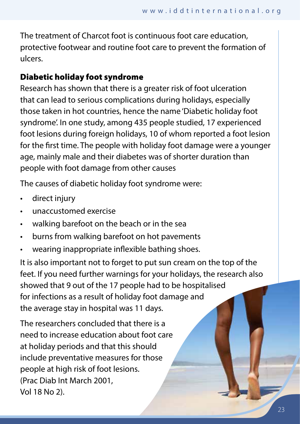The treatment of Charcot foot is continuous foot care education, protective footwear and routine foot care to prevent the formation of ulcers.

## Diabetic holiday foot syndrome

Research has shown that there is a greater risk of foot ulceration that can lead to serious complications during holidays, especially those taken in hot countries, hence the name 'Diabetic holiday foot syndrome'. In one study, among 435 people studied, 17 experienced foot lesions during foreign holidays, 10 of whom reported a foot lesion for the first time. The people with holiday foot damage were a younger age, mainly male and their diabetes was of shorter duration than people with foot damage from other causes

The causes of diabetic holiday foot syndrome were:

- direct injury
- unaccustomed exercise
- walking barefoot on the beach or in the sea
- burns from walking barefoot on hot pavements
- wearing inappropriate inflexible bathing shoes.

It is also important not to forget to put sun cream on the top of the feet. If you need further warnings for your holidays, the research also showed that 9 out of the 17 people had to be hospitalised for infections as a result of holiday foot damage and the average stay in hospital was 11 days.

The researchers concluded that there is a need to increase education about foot care at holiday periods and that this should include preventative measures for those people at high risk of foot lesions. (Prac Diab Int March 2001, Vol 18 No 2).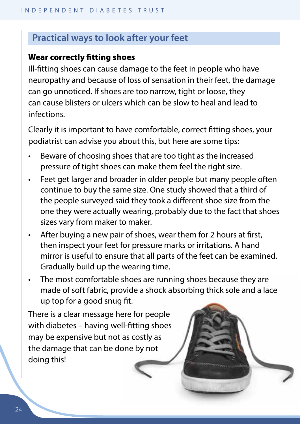# **Practical ways to look after your feet**

#### Wear correctly fitting shoes

Ill-fitting shoes can cause damage to the feet in people who have neuropathy and because of loss of sensation in their feet, the damage can go unnoticed. If shoes are too narrow, tight or loose, they can cause blisters or ulcers which can be slow to heal and lead to infections.

Clearly it is important to have comfortable, correct fitting shoes, your podiatrist can advise you about this, but here are some tips:

- Beware of choosing shoes that are too tight as the increased pressure of tight shoes can make them feel the right size.
- Feet get larger and broader in older people but many people often continue to buy the same size. One study showed that a third of the people surveyed said they took a different shoe size from the one they were actually wearing, probably due to the fact that shoes sizes vary from maker to maker.
- After buying a new pair of shoes, wear them for 2 hours at first, then inspect your feet for pressure marks or irritations. A hand mirror is useful to ensure that all parts of the feet can be examined. Gradually build up the wearing time.
- The most comfortable shoes are running shoes because they are made of soft fabric, provide a shock absorbing thick sole and a lace up top for a good snug fit.

There is a clear message here for people with diabetes – having well-fitting shoes may be expensive but not as costly as the damage that can be done by not doing this!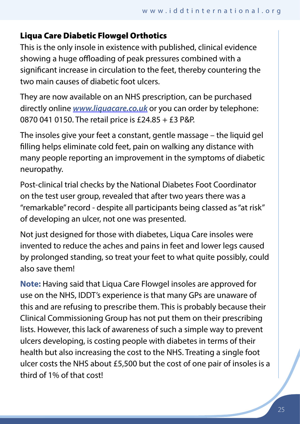## Liqua Care Diabetic Flowgel Orthotics

This is the only insole in existence with published, clinical evidence showing a huge offloading of peak pressures combined with a significant increase in circulation to the feet, thereby countering the two main causes of diabetic foot ulcers.

They are now available on an NHS prescription, can be purchased directly online *www.liquacare.co.uk* or you can order by telephone: 0870 041 0150. The retail price is £24.85 + £3 P&P.

The insoles give your feet a constant, gentle massage – the liquid gel filling helps eliminate cold feet, pain on walking any distance with many people reporting an improvement in the symptoms of diabetic neuropathy.

Post-clinical trial checks by the National Diabetes Foot Coordinator on the test user group, revealed that after two years there was a "remarkable" record - despite all participants being classed as "at risk" of developing an ulcer, not one was presented.

Not just designed for those with diabetes, Liqua Care insoles were invented to reduce the aches and pains in feet and lower legs caused by prolonged standing, so treat your feet to what quite possibly, could also save them!

**Note:** Having said that Liqua Care Flowgel insoles are approved for use on the NHS, IDDT's experience is that many GPs are unaware of this and are refusing to prescribe them. This is probably because their Clinical Commissioning Group has not put them on their prescribing lists. However, this lack of awareness of such a simple way to prevent ulcers developing, is costing people with diabetes in terms of their health but also increasing the cost to the NHS. Treating a single foot ulcer costs the NHS about £5,500 but the cost of one pair of insoles is a third of 1% of that cost!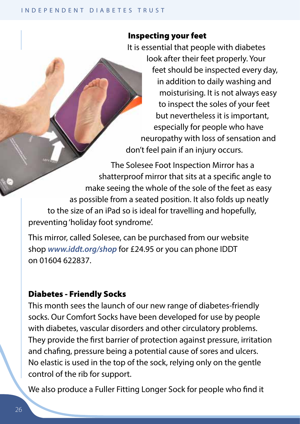## Inspecting your feet

It is essential that people with diabetes look after their feet properly. Your feet should be inspected every day, in addition to daily washing and moisturising. It is not always easy to inspect the soles of your feet but nevertheless it is important, especially for people who have neuropathy with loss of sensation and don't feel pain if an injury occurs.

The Solesee Foot Inspection Mirror has a shatterproof mirror that sits at a specific angle to make seeing the whole of the sole of the feet as easy as possible from a seated position. It also folds up neatly to the size of an iPad so is ideal for travelling and hopefully, preventing 'holiday foot syndrome'.

This mirror, called Solesee, can be purchased from our website shop *www.iddt.org/shop* for £24.95 or you can phone IDDT on 01604 622837.

#### Diabetes - Friendly Socks

This month sees the launch of our new range of diabetes-friendly socks. Our Comfort Socks have been developed for use by people with diabetes, vascular disorders and other circulatory problems. They provide the first barrier of protection against pressure, irritation and chafing, pressure being a potential cause of sores and ulcers. No elastic is used in the top of the sock, relying only on the gentle control of the rib for support.

We also produce a Fuller Fitting Longer Sock for people who find it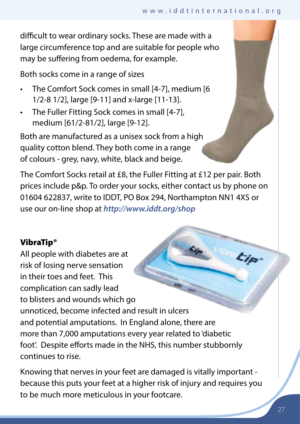difficult to wear ordinary socks. These are made with a large circumference top and are suitable for people who may be suffering from oedema, for example.

Both socks come in a range of sizes

- The Comfort Sock comes in small [4-7], medium [6 1/2-8 1/2], large [9-11] and x-large [11-13].
- The Fuller Fitting Sock comes in small [4-7], medium [61/2-81/2], large [9-12].

Both are manufactured as a unisex sock from a high quality cotton blend. They both come in a range of colours - grey, navy, white, black and beige.

The Comfort Socks retail at £8, the Fuller Fitting at £12 per pair. Both prices include p&p. To order your socks, either contact us by phone on 01604 622837, write to IDDT, PO Box 294, Northampton NN1 4XS or use our on-line shop at *http://www.iddt.org/shop*

# VibraTip®

All people with diabetes are at t ip risk of losing nerve sensation in their toes and feet. This complication can sadly lead to blisters and wounds which go unnoticed, become infected and result in ulcers and potential amputations. In England alone, there are more than 7,000 amputations every year related to 'diabetic foot'. Despite efforts made in the NHS, this number stubbornly continues to rise.

Knowing that nerves in your feet are damaged is vitally important because this puts your feet at a higher risk of injury and requires you to be much more meticulous in your footcare.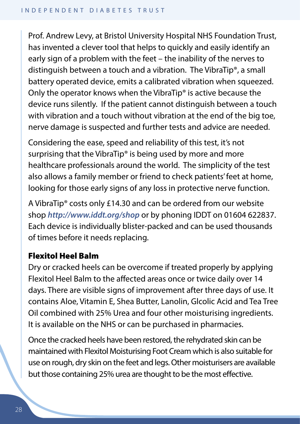Prof. Andrew Levy, at Bristol University Hospital NHS Foundation Trust, has invented a clever tool that helps to quickly and easily identify an early sign of a problem with the feet – the inability of the nerves to distinguish between a touch and a vibration. The VibraTip®, a small battery operated device, emits a calibrated vibration when squeezed. Only the operator knows when the VibraTip® is active because the device runs silently. If the patient cannot distinguish between a touch with vibration and a touch without vibration at the end of the big toe, nerve damage is suspected and further tests and advice are needed.

Considering the ease, speed and reliability of this test, it's not surprising that the VibraTip® is being used by more and more healthcare professionals around the world. The simplicity of the test also allows a family member or friend to check patients' feet at home, looking for those early signs of any loss in protective nerve function.

A VibraTip® costs only £14.30 and can be ordered from our website shop *http://www.iddt.org/shop* or by phoning IDDT on 01604 622837. Each device is individually blister-packed and can be used thousands of times before it needs replacing.

#### Flexitol Heel Balm

Dry or cracked heels can be overcome if treated properly by applying Flexitol Heel Balm to the affected areas once or twice daily over 14 days. There are visible signs of improvement after three days of use. It contains Aloe, Vitamin E, Shea Butter, Lanolin, Glcolic Acid and Tea Tree Oil combined with 25% Urea and four other moisturising ingredients. It is available on the NHS or can be purchased in pharmacies.

Once the cracked heels have been restored, the rehydrated skin can be maintained with Flexitol Moisturising Foot Cream which is also suitable for use on rough, dry skin on the feet and legs. Other moisturisers are available but those containing 25% urea are thought to be the most effective.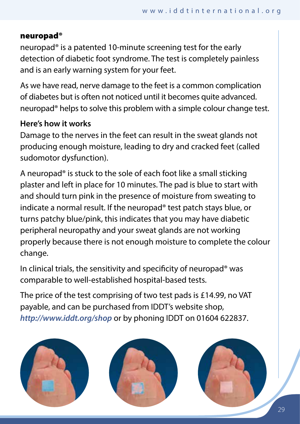#### neuropad®

neuropad® is a patented 10-minute screening test for the early detection of diabetic foot syndrome. The test is completely painless and is an early warning system for your feet.

As we have read, nerve damage to the feet is a common complication of diabetes but is often not noticed until it becomes quite advanced. neuropad® helps to solve this problem with a simple colour change test.

# **Here's how it works**

Damage to the nerves in the feet can result in the sweat glands not producing enough moisture, leading to dry and cracked feet (called sudomotor dysfunction).

A neuropad® is stuck to the sole of each foot like a small sticking plaster and left in place for 10 minutes. The pad is blue to start with and should turn pink in the presence of moisture from sweating to indicate a normal result. If the neuropad® test patch stays blue, or turns patchy blue/pink, this indicates that you may have diabetic peripheral neuropathy and your sweat glands are not working properly because there is not enough moisture to complete the colour change.

In clinical trials, the sensitivity and specificity of neuropad® was comparable to well-established hospital-based tests.

The price of the test comprising of two test pads is £14.99, no VAT payable, and can be purchased from IDDT's website shop, *http://www.iddt.org/shop* or by phoning IDDT on 01604 622837.

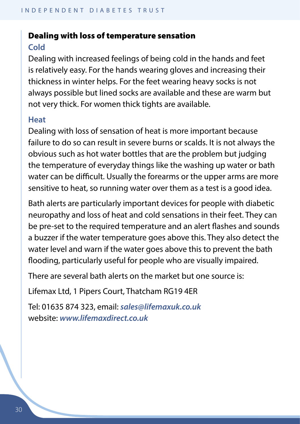# Dealing with loss of temperature sensation **Cold**

Dealing with increased feelings of being cold in the hands and feet is relatively easy. For the hands wearing gloves and increasing their thickness in winter helps. For the feet wearing heavy socks is not always possible but lined socks are available and these are warm but not very thick. For women thick tights are available.

#### **Heat**

Dealing with loss of sensation of heat is more important because failure to do so can result in severe burns or scalds. It is not always the obvious such as hot water bottles that are the problem but judging the temperature of everyday things like the washing up water or bath water can be difficult. Usually the forearms or the upper arms are more sensitive to heat, so running water over them as a test is a good idea.

Bath alerts are particularly important devices for people with diabetic neuropathy and loss of heat and cold sensations in their feet. They can be pre-set to the required temperature and an alert flashes and sounds a buzzer if the water temperature goes above this. They also detect the water level and warn if the water goes above this to prevent the bath flooding, particularly useful for people who are visually impaired.

There are several bath alerts on the market but one source is:

Lifemax Ltd, 1 Pipers Court, Thatcham RG19 4ER

Tel: 01635 874 323, email: *sales@lifemaxuk.co.uk* website: *www.lifemaxdirect.co.uk*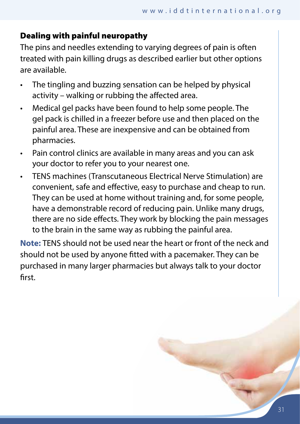# Dealing with painful neuropathy

The pins and needles extending to varying degrees of pain is often treated with pain killing drugs as described earlier but other options are available.

- The tingling and buzzing sensation can be helped by physical activity – walking or rubbing the affected area.
- Medical gel packs have been found to help some people. The gel pack is chilled in a freezer before use and then placed on the painful area. These are inexpensive and can be obtained from pharmacies.
- Pain control clinics are available in many areas and you can ask your doctor to refer you to your nearest one.
- TENS machines (Transcutaneous Electrical Nerve Stimulation) are convenient, safe and effective, easy to purchase and cheap to run. They can be used at home without training and, for some people, have a demonstrable record of reducing pain. Unlike many drugs, there are no side effects. They work by blocking the pain messages to the brain in the same way as rubbing the painful area.

**Note:** TENS should not be used near the heart or front of the neck and should not be used by anyone fitted with a pacemaker. They can be purchased in many larger pharmacies but always talk to your doctor first.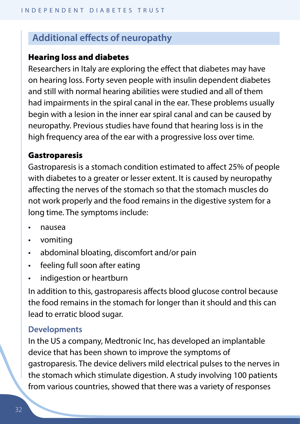# **Additional effects of neuropathy**

#### Hearing loss and diabetes

Researchers in Italy are exploring the effect that diabetes may have on hearing loss. Forty seven people with insulin dependent diabetes and still with normal hearing abilities were studied and all of them had impairments in the spiral canal in the ear. These problems usually begin with a lesion in the inner ear spiral canal and can be caused by neuropathy. Previous studies have found that hearing loss is in the high frequency area of the ear with a progressive loss over time.

#### Gastroparesis

Gastroparesis is a stomach condition estimated to affect 25% of people with diabetes to a greater or lesser extent. It is caused by neuropathy affecting the nerves of the stomach so that the stomach muscles do not work properly and the food remains in the digestive system for a long time. The symptoms include:

- nausea
- vomiting
- abdominal bloating, discomfort and/or pain
- feeling full soon after eating
- indigestion or heartburn

In addition to this, gastroparesis affects blood glucose control because the food remains in the stomach for longer than it should and this can lead to erratic blood sugar.

#### **Developments**

In the US a company, Medtronic Inc, has developed an implantable device that has been shown to improve the symptoms of gastroparesis. The device delivers mild electrical pulses to the nerves in the stomach which stimulate digestion. A study involving 100 patients from various countries, showed that there was a variety of responses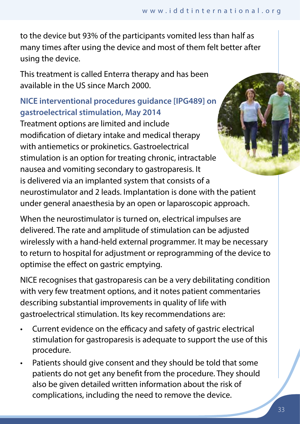to the device but 93% of the participants vomited less than half as many times after using the device and most of them felt better after using the device.

This treatment is called Enterra therapy and has been available in the US since March 2000.

# **NICE interventional procedures guidance [IPG489] on gastroelectrical stimulation, May 2014**

Treatment options are limited and include modification of dietary intake and medical therapy with antiemetics or prokinetics. Gastroelectrical stimulation is an option for treating chronic, intractable nausea and vomiting secondary to gastroparesis. It is delivered via an implanted system that consists of a neurostimulator and 2 leads. Implantation is done with the patient under general anaesthesia by an open or laparoscopic approach.

When the neurostimulator is turned on, electrical impulses are delivered. The rate and amplitude of stimulation can be adjusted wirelessly with a hand-held external programmer. It may be necessary to return to hospital for adjustment or reprogramming of the device to optimise the effect on gastric emptying.

NICE recognises that gastroparesis can be a very debilitating condition with very few treatment options, and it notes patient commentaries describing substantial improvements in quality of life with gastroelectrical stimulation. Its key recommendations are:

- Current evidence on the efficacy and safety of gastric electrical stimulation for gastroparesis is adequate to support the use of this procedure.
- Patients should give consent and they should be told that some patients do not get any benefit from the procedure. They should also be given detailed written information about the risk of complications, including the need to remove the device.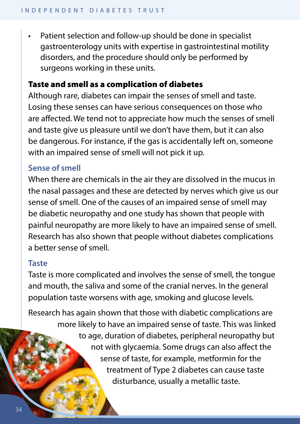Patient selection and follow-up should be done in specialist gastroenterology units with expertise in gastrointestinal motility disorders, and the procedure should only be performed by surgeons working in these units.

## Taste and smell as a complication of diabetes

Although rare, diabetes can impair the senses of smell and taste. Losing these senses can have serious consequences on those who are affected. We tend not to appreciate how much the senses of smell and taste give us pleasure until we don't have them, but it can also be dangerous. For instance, if the gas is accidentally left on, someone with an impaired sense of smell will not pick it up.

#### **Sense of smell**

When there are chemicals in the air they are dissolved in the mucus in the nasal passages and these are detected by nerves which give us our sense of smell. One of the causes of an impaired sense of smell may be diabetic neuropathy and one study has shown that people with painful neuropathy are more likely to have an impaired sense of smell. Research has also shown that people without diabetes complications a better sense of smell.

#### **Taste**

Taste is more complicated and involves the sense of smell, the tongue and mouth, the saliva and some of the cranial nerves. In the general population taste worsens with age, smoking and glucose levels.

Research has again shown that those with diabetic complications are more likely to have an impaired sense of taste. This was linked to age, duration of diabetes, peripheral neuropathy but not with glycaemia. Some drugs can also affect the sense of taste, for example, metformin for the treatment of Type 2 diabetes can cause taste disturbance, usually a metallic taste.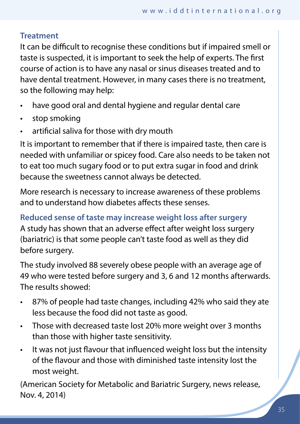## **Treatment**

It can be difficult to recognise these conditions but if impaired smell or taste is suspected, it is important to seek the help of experts. The first course of action is to have any nasal or sinus diseases treated and to have dental treatment. However, in many cases there is no treatment, so the following may help:

- have good oral and dental hygiene and regular dental care
- stop smoking
- artificial saliva for those with dry mouth

It is important to remember that if there is impaired taste, then care is needed with unfamiliar or spicey food. Care also needs to be taken not to eat too much sugary food or to put extra sugar in food and drink because the sweetness cannot always be detected.

More research is necessary to increase awareness of these problems and to understand how diabetes affects these senses.

**Reduced sense of taste may increase weight loss after surgery** A study has shown that an adverse effect after weight loss surgery (bariatric) is that some people can't taste food as well as they did before surgery.

The study involved 88 severely obese people with an average age of 49 who were tested before surgery and 3, 6 and 12 months afterwards. The results showed:

- 87% of people had taste changes, including 42% who said they ate less because the food did not taste as good.
- Those with decreased taste lost 20% more weight over 3 months than those with higher taste sensitivity.
- It was not just flavour that influenced weight loss but the intensity of the flavour and those with diminished taste intensity lost the most weight.

(American Society for Metabolic and Bariatric Surgery, news release, Nov. 4, 2014)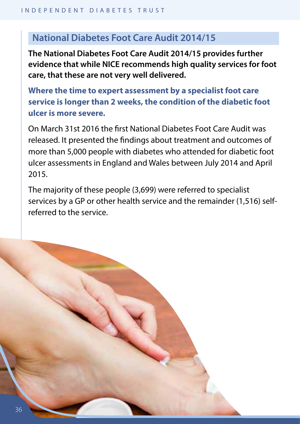# **National Diabetes Foot Care Audit 2014/15**

**The National Diabetes Foot Care Audit 2014/15 provides further evidence that while NICE recommends high quality services for foot care, that these are not very well delivered.** 

**Where the time to expert assessment by a specialist foot care service is longer than 2 weeks, the condition of the diabetic foot ulcer is more severe.**

On March 31st 2016 the first National Diabetes Foot Care Audit was released. It presented the findings about treatment and outcomes of more than 5,000 people with diabetes who attended for diabetic foot ulcer assessments in England and Wales between July 2014 and April 2015.

The majority of these people (3,699) were referred to specialist services by a GP or other health service and the remainder (1,516) selfreferred to the service.

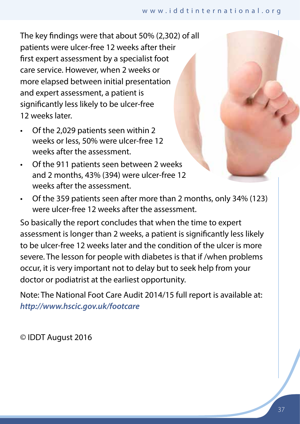The key findings were that about 50% (2,302) of all patients were ulcer-free 12 weeks after their first expert assessment by a specialist foot care service. However, when 2 weeks or more elapsed between initial presentation and expert assessment, a patient is significantly less likely to be ulcer-free 12 weeks later.

- Of the 2,029 patients seen within 2 weeks or less, 50% were ulcer-free 12 weeks after the assessment.
- Of the 911 patients seen between 2 weeks and 2 months, 43% (394) were ulcer-free 12 weeks after the assessment.
- Of the 359 patients seen after more than 2 months, only 34% (123) were ulcer-free 12 weeks after the assessment.

So basically the report concludes that when the time to expert assessment is longer than 2 weeks, a patient is significantly less likely to be ulcer-free 12 weeks later and the condition of the ulcer is more severe. The lesson for people with diabetes is that if /when problems occur, it is very important not to delay but to seek help from your doctor or podiatrist at the earliest opportunity.

Note: The National Foot Care Audit 2014/15 full report is available at: *http://www.hscic.gov.uk/footcare*

© IDDT August 2016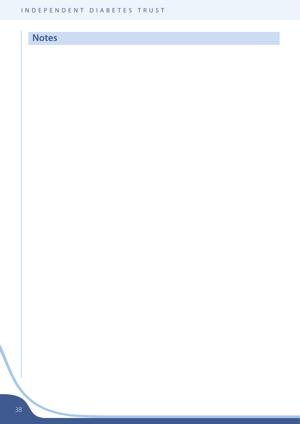# **Notes**